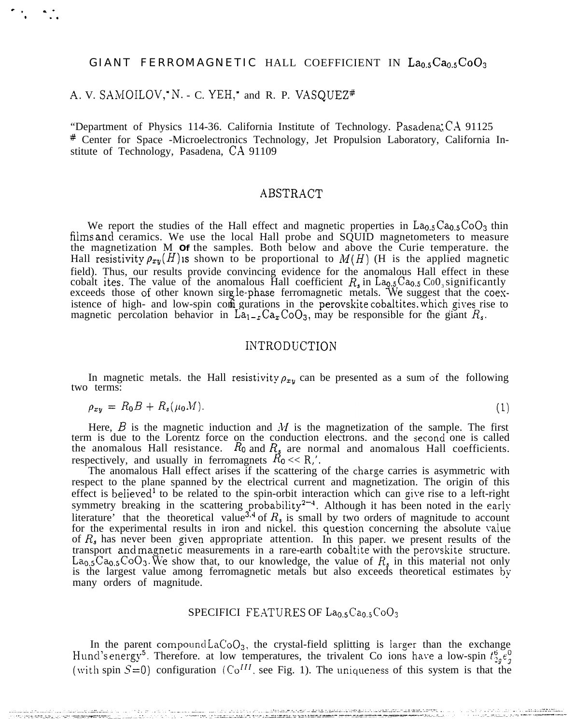### GIANT FERROMAGNETIC HALL COEFFICIENT IN La0.5Ca0.5CoO3

## A. V. SAMOILOV, N. - C. YEH, and R. P. VASQUEZ#

"Department of Physics 114-36. California Institute of Technology. Pasadena, CA 91125 # Center for Space -Microelectronics Technology, Jet Propulsion Laboratory, California Institute of Technology, Pasadena, CA 91109

# ABSTRACT

We report the studies of the Hall effect and magnetic properties in  $La<sub>0.5</sub>Ca<sub>0.5</sub>CoO<sub>3</sub>$  thin films and ceramics. We use the local Hall probe and SQUID magnetometers to measure the magnetization  $M$  of the samp Hall resistivity  $\rho_{xy}(H)$  is shown to be proportional to  $M(H)$  (H is the applied magnetic field). Thus, our results provide convincing evidence for the anomalous Hall effect in these cobalt ites. The value of the anomalous Hall coefficient  $R_s$  in  $\text{La}_{\text{Q}_5}\text{Ca}_{0.5}\text{Co}_{0.5}$  significantly exceeds those of other known single-phase ferromagnetic metals. We suggest that the coexistence of high- and low-spin com gurations in the perovskite cobaltites, which gives rise to magnetic percolation behavior in  $\text{La}_{1-x}\text{Ca}_x\text{CoO}_3$ , may be responsible for the giant  $R_s$ .

## **INTRODUCTION**

In magnetic metals, the Hall resistivity  $\rho_{xy}$  can be presented as a sum of the following two terms:

$$
\rho_{xy} = R_0 B + R_s(\mu_0 M). \tag{1}
$$

Here,  $B$  is the magnetic induction and  $M$  is the magnetization of the sample. The first term is due to the Lorentz force on the conduction electrons. and the second one is called<br>the anomalous Hall resistance.  $R_0$  and  $R_s$  are normal and anomalous Hall coefficients.<br>respectively, and usually in ferromagnet

The anomalous Hall effect arises if the scattering of the charge carries is asymmetric with respect to the plane spanned by the electrical current and magnetization. The origin of this effect is believed<sup>1</sup> to be related to the spin-orbit interaction which can give rise to a left-right<br>symmetry breaking in the scattering probability<sup>2-4</sup>. Although it has been noted in the early<br>literature' that the theo of  $R_s$  has never been given appropriate attention. In this paper, we present results of the transport and magnetic measurements in a rare-earth cobaltite with the perovskite structure.<br>La<sub>0.5</sub>Ca<sub>0.5</sub>CoO<sub>3</sub>. We show that, to our knowledge, the value of  $R_s$  in this material not only is the largest value among fer many orders of magnitude.

#### SPECIFICI FEATURES OF La<sub>0.5</sub>Ca<sub>0.5</sub>CoO<sub>3</sub>

In the parent compound  $LaCoO<sub>3</sub>$ , the crystal-field splitting is larger than the exchange Hund's energy<sup>5</sup>. Therefore, at low temperatures, the trivalent Co ions have a low-spin  $t_{2g}^6 \xi_{g}^0$ (with spin  $S=0$ ) configuration ( $Co^{III}$ , see Fig. 1). The uniqueness of this system is that the

i store te premieranje uporaziti r<del>a</del>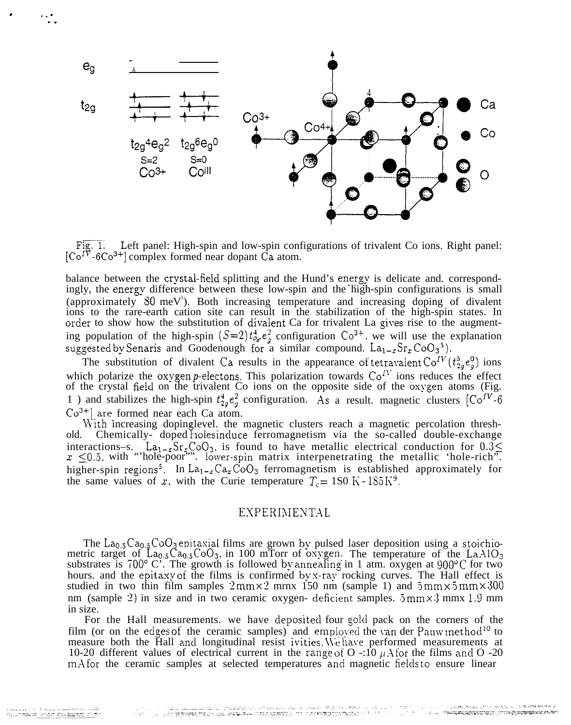

Left panel: High-spin and low-spin configurations of trivalent Co ions. Right panel:  $[C_0<sup>I\overline{V}</sup> - 6Co<sup>3+</sup>]$  complex formed near dopant  $\dot{Ca}$  atom.

balance between the crystal-fieid splitting and the Hund's energy is delicate and. correspondingly, the energy difference between these low-spin and the high-spin configurations is small (approximately  $80 \text{ meV}^5$ ). Both increasing temperature and increasing doping of divalent ions to the rare-earth cation site can result in the stabilization of the high-spin states. In order to show how the substitution of divalent Ca for trivalent La gives rise to the augmenting population of the high-spin  $(S=2) t_{2y}^4 e_2^2$  configuration  $\text{Co}^{3+}$ , we will use the explanation suggested by Senaris and Goodenough for a similar compound.  $La_{1-x}Sr_{x}CoO_{3}^{-5}$ .

The substitution of divalent Ca results in the appearance of tetravalent  $Co^{IV}(t_2^5,e_q^0)$  ions which polarize the oxygen p-electons. This polarization towards  $Co<sup>IV</sup>$  ions reduces the effect of the crystal field on the trivalent Co ions on the opposite side of the oxygen atoms (Fig. 1) and stabilizes the high-spin  $t_2^4 e^2$  configuration. As a result. magnetic clusters  $[Co^{IV}$ -6  $Co^{3+}$ ] are formed near each Ca atom.

With increasing dopinglevel. the magnetic clusters reach a magnetic percolation threshold. Chemically-doped holes induce ferromagnetism via the so-called double-exchange interactions–s.  $La_{1-x}Sr_xCoO_3$ , is found to have metallic electrical conduction for  $0.3 \leq$  $x \leq 0.5$ . with "'hole-poor''". lower-spin matrix interpenetrating the metallic 'hole-rich''. higher-spin regions<sup>5</sup>. In La<sub>1-x</sub>Ca<sub>x</sub>CoO<sub>3</sub> ferromagnetism is established approximately for the same values of x, with the Curie temperature  $T_c = 1S0 \text{ K} - 1S5 \text{ K}^9$ .

### EXPERIMENTAL

The  $La<sub>0.5</sub>Ca<sub>0.5</sub>CoO<sub>3</sub>$  epitaxial films are grown by pulsed laser deposition using a stoichiometric target of  $La_{0.5}Ca_{0.5}CoO_3$ , in 100 mTorr of oxygen. The temperature of the La. $AlO_3$ substrates is  $700^{\circ}$  C'. The growth is followed by annealing in 1 atm. oxygen at  $900^{\circ}$ C for two hours. and the epitaxy of the films is confirmed by x-ray rocking curves. The Hall effect is studied in two thin film samples  $2 \text{mm} \times 2 \text{mm} \times 150 \text{ nm}$  (sample 1) and  $5 \text{mm} \times 5 \text{mm} \times 300$ nm (sample 2) in size and in two ceramic oxygen- deficient samples.  $5 \text{mm} \times 3 \text{mm} \times 1.9 \text{mm}$ in size.

For the Hall measurements, we have deposited four gold pack on the corners of the film (or on the edges of the ceramic samples) and employed the van der Pauw method<sup>10</sup> to measure both the Hall and longitudinal resist ivities. We have performed measurements at 10-20 different values of electrical current in the range of O -:10  $\mu$ A for the films and O -20 m. A for the ceramic samples at selected temperatures and magnetic fields to ensure linear

. . . -

. .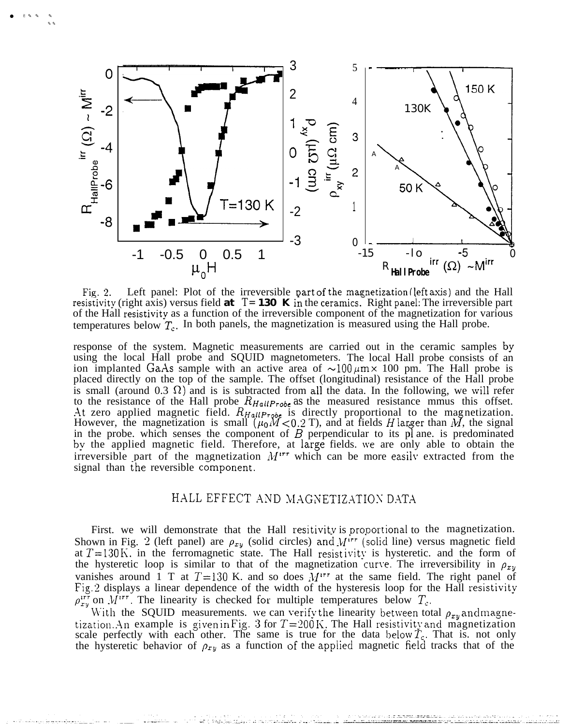

● ✌✎✎ ✎

 $\sim$ 

Left panel: Plot of the irreversible part of the magnetization (left axis) and the Hall Fig. 2. Left panel: Plot of the irreversible part of the magnetization (left axis) and the Hall resistivity (right axis) versus field at  $T=130$  K in the ceramics. Right panel: The irreversible part of the Hall resistivity as a function of the irreversible component of the magnetization for various temperatures below  $T_c$ . In both panels, the magnetization is measured using the Hall probe.

response of the system. Magnetic measurements are carried out in the ceramic samples by using the local Hall probe and SQUID magnetometers. The local Hall probe consists of an ion implanted GaAs sample with an active area of  $\sim 100 \mu \text{m} \times 100 \text{ pm}$ . The Hall probe is placed directly on the top of the sample. The offset (longitudinal) resistance of the Hall probe is small (around 0.3  $\Omega$ ) and is is subtracted from all the data. In the following, we will refer to the resistance of the Hall probe  $R_{HallProbe}$  as the measured resistance mmus this offset. At zero applied magnetic field.  $R_{HallProbe}$  is directly proportional to the magnetization.<br>However, the magnetization is small  $(\mu_0 M < 0.2$  T), and at fields H larger than M, the signal in the probe. which senses the component of  $B$  perpendicular to its pl ane. is predominated by the applied magnetic field. Therefore, at large fields. \ve are only able to obtain the irreversible part of the magnetization  $M^{irr}$  which can be more easily extracted from the signal than the reversible component.

## HALL EFFECT AND MAGNETIZATION DATA

First. we will demonstrate that the Hall resitivity is proportional to the magnetization. Shown in Fig. 2 (left panel) are  $\rho_{xy}$  (solid circles) and  $M^{irr}$  (solid line) versus magnetic field at  $T=130$  K, in the ferromagnetic state. The Hall resistivity is hysteretic. and the form of the hysteretic loop is similar to that of the magnetization curve. The irreversibility in  $\rho_{xy}$ vanishes around 1 T at  $T=130$  K. and so does  $M^{irr}$  at the same field. The right panel of Fig. 2 displays a linear dependence of the width of the hysteresis loop for the Hall resistivity  $\rho_{xy}^{irr}$  on  $\hat{M}^{irr}$ . The linearity is checked for multiple temperatures below  $T_c$ .

With the SQUID measurements. we can verify the linearity between total  $\rho_{xy}$  and magnetization. An example is given in Fig. 3 for  $T=200$  K. The Hall resistivity and magnetization scale perfectly with each other. The same is true for the data below  $\tilde{T}_c$ . That is. not only the hysteretic behavior of  $\rho_{xy}$  as a function of the applied magnetic field tracks that of the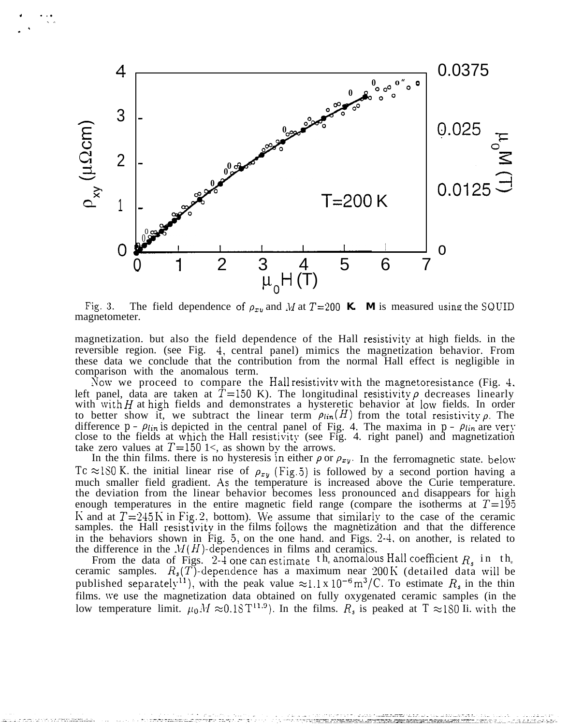![](_page_3_Figure_0.jpeg)

. . . ● ✎ ✍

. .

The field dependence of  $\rho_{xy}$  and M at T=200 K. M is measured using the SQUID Fig.  $3$ . magnetometer.

magnetization. but also the field dependence of the Hall resistivity at high fields. in the reversible region. (see Fig. 4, central panel) mimics the magnetization behavior. From these data we conclude that the contribution from the normal Hall effect is negligible in comparison with the anomalous term.

Now we proceed to compare the Hall resistivitv with the magnetoresistance (Fig. 4, left panel, data are taken at  $T=150$  K). The longitudinal resistivity  $\rho$  decreases linearly with with H at high fields and demonstrates a hysteretic behavior at low fields. In order to better show it, we subtract the linear term  $\rho_{lin}(H)$  from the total resistivity  $\rho$ . The difference  $p - \rho_{lin}$  is depicted in the central panel of Fig. 4. The maxima in  $p - \rho_{lin}$  are very close to the fields at which the Hall resistivity (see Fig. 4. right panel) and magnetization take zero values at  $T=150$  1<, as shown by the arrows.

In the thin films. there is no hysteresis in either  $\rho$  or  $\rho_{xy}$ . In the ferromagnetic state. below *Tc*  $\approx$ 180 K. the initial linear rise of  $\rho_{xy}$  (Fig. 5) is followed by a second portion having a much smaller field gradient. As the temperature is increased above the Curie temperature. the deviation from the linear behavior becomes less pronounced ancl disappears for high enough temperatures in the entire magnetic field range (compare the isotherms at  $T=195$ K and at  $T=245$  K in Fig. 2, bottom). We assume that similarly to the case of the ceramic samples. the Hall resistivity in the films follows the magnetization and that the difference in the behaviors shown in Fig.  $5$ , on the one hand. and Figs.  $2-4$ , on another, is related to the difference in the  $M(H)$ -dependences in films and ceramics.

From the data of Figs. 2-4 one can estimate the anomalous Hall coefficient  $R_s$  in the ceramic samples.  $R_s(T)$ -dependence has a maximum near 200 K (detailed data will be published separately<sup>11</sup>), with the peak value  $\approx 1.1 \times 10^{-6} \text{ m}^3/\text{C}$ . To estimate  $R_s$  in the thin films. we use the magnetization data obtained on fully oxygenated ceramic samples (in the low temperature limit.  $\mu_0 M \approx 0.18 \text{ T}^{11.9}$ . In the films.  $R_s$  is peaked at  $T \approx 180$  Ii. with the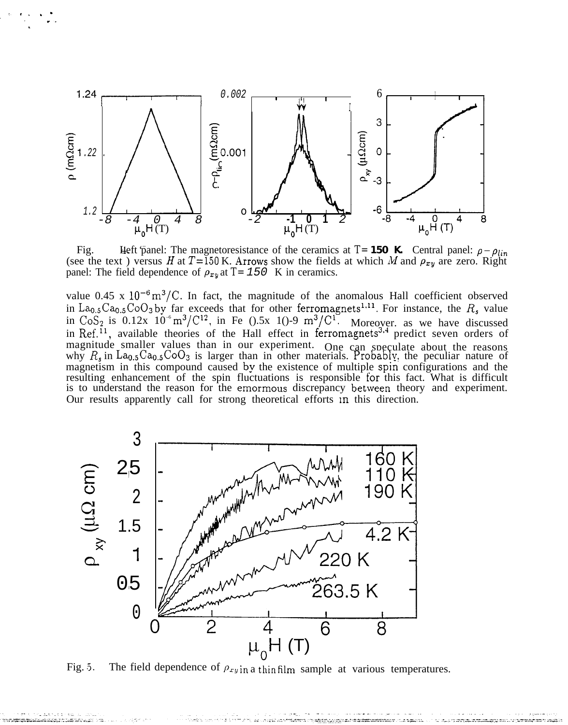![](_page_4_Figure_0.jpeg)

Fig. 4. **Heft** panel: The magnetoresistance of the ceramics at  $T= 150$  K. Central panel:  $\rho - \rho_{lin}$ (see the text) versus H at  $T=150$  K. Arrows show the fields at which M and  $\rho_{xy}$  are zero. Right panel: The field dependence of  $\rho_{xy}$  at *T*= 150 K in ceramics.

value  $0.45 \times 10^{-6} \text{ m}^3/\text{C}$ . In fact, the magnitude of the anomalous Hall coefficient observed in La<sub>0.5</sub>Ca<sub>0.5</sub>CoO<sub>3</sub> by far exceeds that for other ferromagnets<sup>1,11</sup>. For instance, the  $R_s$  value in  $\text{CoS}_2$  is 0.12x  $10^{-6} \text{m}^3/\text{C}^{12}$ , in Fe ().5x 1()-9  $\text{m}^3/\text{C}^1$ . Moreover. as we have discussed in Ref.<sup>11</sup>, available theories of the Hall effect in ferromagnets<sup>3,4</sup> predict seven orders of magnitude smaller values than in our experiment. One can speculate about the reasons why  $R_s$  in La<sub>0.5</sub>Ca<sub>0.5</sub>CoO<sub>3</sub> is larger than in other materials. Probably, the peculiar nature of magnetism in this compound caused by the existence of multiple spin configurations and the resulting enhancement of the spin fluctuations is responsible for this fact. What is difficult is to understand the reason for the emormous discrepancy between theory and experiment. Our results apparently call for strong theoretical efforts m this direction.

![](_page_4_Figure_3.jpeg)

Fig. 5. The field dependence of  $\rho_{xy}$  in a thin film sample at various temperatures.